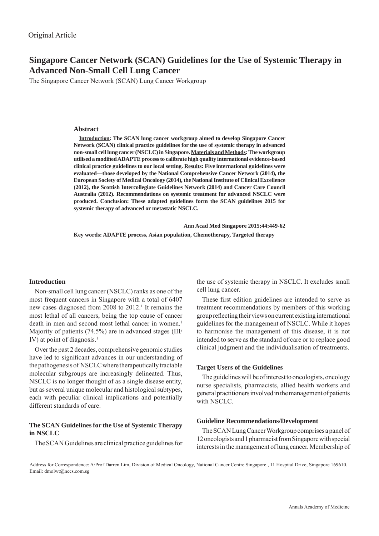## **Singapore Cancer Network (SCAN) Guidelines for the Use of Systemic Therapy in Advanced Non-Small Cell Lung Cancer**

The Singapore Cancer Network (SCAN) Lung Cancer Workgroup

## **Abstract**

**Introduction: The SCAN lung cancer workgroup aimed to develop Singapore Cancer Network (SCAN) clinical practice guidelines for the use of systemic therapy in advanced non-small cell lung cancer (NSCLC) in Singapore. Materials and Methods: The workgroup utilised a modifi ed ADAPTE process to calibrate high quality international evidence-based clinical practice guidelines to our local setting. Results: Five international guidelines were evaluated—those developed by the National Comprehensive Cancer Network (2014), the European Society of Medical Oncology (2014), the National Institute of Clinical Excellence (2012), the Scottish Intercollegiate Guidelines Network (2014) and Cancer Care Council Australia (2012). Recommendations on systemic treatment for advanced NSCLC were produced. Conclusion: These adapted guidelines form the SCAN guidelines 2015 for systemic therapy of advanced or metastatic NSCLC.** 

 **Ann Acad Med Singapore 2015;44:449-62**

**Key words: ADAPTE process, Asian population, Chemotherapy, Targeted therapy** 

## **Introduction**

Non-small cell lung cancer (NSCLC) ranks as one of the most frequent cancers in Singapore with a total of 6407 new cases diagnosed from 2008 to 2012.<sup>1</sup> It remains the most lethal of all cancers, being the top cause of cancer death in men and second most lethal cancer in women.<sup>1</sup> Majority of patients (74.5%) are in advanced stages (III/ IV) at point of diagnosis. $<sup>1</sup>$ </sup>

Over the past 2 decades, comprehensive genomic studies have led to significant advances in our understanding of the pathogenesis of NSCLC where therapeutically tractable molecular subgroups are increasingly delineated. Thus, NSCLC is no longer thought of as a single disease entity, but as several unique molecular and histological subtypes, each with peculiar clinical implications and potentially different standards of care.

## **The SCAN Guidelines for the Use of Systemic Therapy in NSCLC**

The SCAN Guidelines are clinical practice guidelines for

the use of systemic therapy in NSCLC. It excludes small cell lung cancer.

These first edition guidelines are intended to serve as treatment recommendations by members of this working group reflecting their views on current existing international guidelines for the management of NSCLC. While it hopes to harmonise the management of this disease, it is not intended to serve as the standard of care or to replace good clinical judgment and the individualisation of treatments.

## **Target Users of the Guidelines**

The guidelines will be of interest to oncologists, oncology nurse specialists, pharmacists, allied health workers and general practitioners involved in the management of patients with NSCLC.

#### **Guideline Recommendations/Development**

The SCAN Lung Cancer Workgroup comprises a panel of 12 oncologists and 1 pharmacist from Singapore with special interests in the management of lung cancer. Membership of

Address for Correspondence: A/Prof Darren Lim, Division of Medical Oncology, National Cancer Centre Singapore , 11 Hospital Drive, Singapore 169610. Email: dmolwt@nccs.com.sg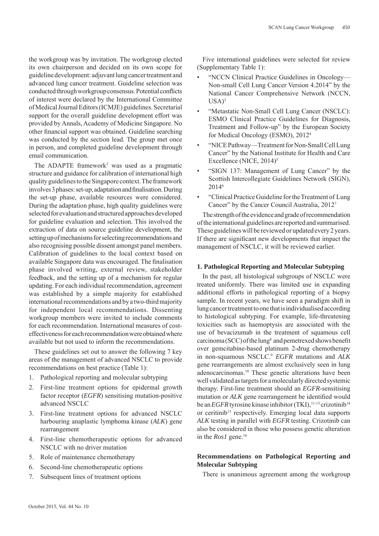the workgroup was by invitation. The workgroup elected its own chairperson and decided on its own scope for guideline development: adjuvant lung cancer treatment and advanced lung cancer treatment. Guideline selection was conducted through workgroup consensus. Potential conflicts of interest were declared by the International Committee of Medical Journal Editors (ICMJE) guidelines. Secretarial support for the overall guideline development effort was provided by Annals, Academy of Medicine Singapore. No other financial support was obtained. Guideline searching was conducted by the section lead. The group met once in person, and completed guideline development through email communication.

The ADAPTE framework<sup>2</sup> was used as a pragmatic structure and guidance for calibration of international high quality guidelines to the Singapore context. The framework involves 3 phases: set-up, adaptation and finalisation. During the set-up phase, available resources were considered. During the adaptation phase, high quality guidelines were selected for evaluation and structured approaches developed for guideline evaluation and selection. This involved the extraction of data on source guideline development, the setting up of mechanisms for selecting recommendations and also recognising possible dissent amongst panel members. Calibration of guidelines to the local context based on available Singapore data was encouraged. The finalisation phase involved writing, external review, stakeholder feedback, and the setting up of a mechanism for regular updating. For each individual recommendation, agreement was established by a simple majority for established international recommendations and by a two-third majority for independent local recommendations. Dissenting workgroup members were invited to include comments for each recommendation. International measures of costeffectiveness for each recommendation were obtained where available but not used to inform the recommendations.

These guidelines set out to answer the following 7 key areas of the management of advanced NSCLC to provide recommendations on best practice (Table 1):

- 1. Pathological reporting and molecular subtyping
- 2. First-line treatment options for epidermal growth factor receptor (*EGFR*) sensitising mutation-positive advanced NSCLC
- 3. First-line treatment options for advanced NSCLC harbouring anaplastic lymphoma kinase (*ALK*) gene rearrangement
- 4. First-line chemotherapeutic options for advanced NSCLC with no driver mutation
- 5. Role of maintenance chemotherapy
- 6. Second-line chemotherapeutic options
- 7. Subsequent lines of treatment options

Five international guidelines were selected for review (Supplementary Table 1):

- "NCCN Clinical Practice Guidelines in Oncology— Non-small Cell Lung Cancer Version 4.2014" by the National Cancer Comprehensive Network (NCCN,  $USA)^3$
- "Metastatic Non-Small Cell Lung Cancer (NSCLC): ESMO Clinical Practice Guidelines for Diagnosis, Treatment and Follow-up" by the European Society for Medical Oncology (ESMO), 20124
- "NICE Pathway—Treatment for Non-Small Cell Lung Cancer" by the National Institute for Health and Care Excellence (NICE, 2014)<sup>5</sup>
- "SIGN 137: Management of Lung Cancer" by the Scottish Intercollegiate Guidelines Network (SIGN), 20146
- "Clinical Practice Guideline for the Treatment of Lung Cancer" by the Cancer Council Australia, 20127

The strength of the evidence and grade of recommendation of the international guidelines are reported and summarised. These guidelines will be reviewed or updated every 2 years. If there are significant new developments that impact the management of NSCLC, it will be reviewed earlier.

## **1. Pathological Reporting and Molecular Subtyping**

In the past, all histological subgroups of NSCLC were treated uniformly. There was limited use in expanding additional efforts in pathological reporting of a biopsy sample. In recent years, we have seen a paradigm shift in lung cancer treatment to one that is individualised according to histological subtyping. For example, life-threatening toxicities such as haemoptysis are associated with the use of bevacizumab in the treatment of squamous cell carcinoma (SCC) of the lung<sup>8</sup> and pemetrexed shows benefit over gemcitabine-based platinum 2-drug chemotherapy in non-squamous NSCLC.9 *EGFR* mutations and *ALK*  gene rearrangements are almost exclusively seen in lung adenocarcinomas.10 These genetic alterations have been well validated as targets for a molecularly directed systemic therapy. First-line treatment should an *EGFR*-sensitising mutation or *ALK* gene rearrangement be identified would be an *EGFR* tyrosine kinase inhibitor (TKI),<sup>11-13</sup> crizotinib<sup>14</sup> or ceritinib<sup>15</sup> respectively. Emerging local data supports *ALK* testing in parallel with *EGFR* testing. Crizotinib can also be considered in those who possess genetic alteration in the *Ros1* gene.<sup>16</sup>

## **Recommendations on Pathological Reporting and Molecular Subtyping**

There is unanimous agreement among the workgroup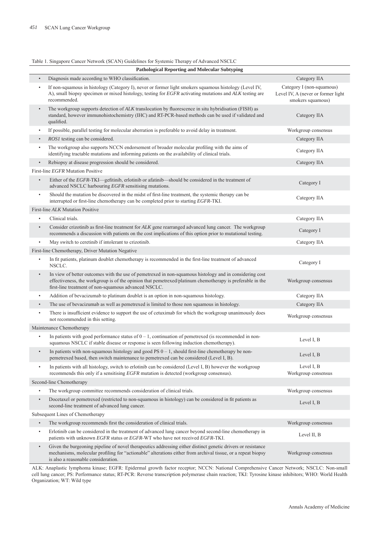# Table 1. Singapore Cancer Network (SCAN) Guidelines for Systemic Therapy of Advanced NSCLC

|           | <b>Pathological Reporting and Molecular Subtyping</b>                                                                                                                                                                                                                        |                                                                                      |
|-----------|------------------------------------------------------------------------------------------------------------------------------------------------------------------------------------------------------------------------------------------------------------------------------|--------------------------------------------------------------------------------------|
| $\bullet$ | Diagnosis made according to WHO classification.                                                                                                                                                                                                                              | Category IIA                                                                         |
| $\bullet$ | If non-squamous in histology (Category I), never or former light smokers squamous histology (Level IV,<br>A), small biopsy specimen or mixed histology, testing for EGFR activating mutations and ALK testing are<br>recommended.                                            | Category I (non-squamous)<br>Level IV, A (never or former light<br>smokers squamous) |
| $\bullet$ | The workgroup supports detection of ALK translocation by fluorescence in situ hybridisation (FISH) as<br>standard, however immunohistochemistry (IHC) and RT-PCR-based methods can be used if validated and<br>qualified.                                                    | Category IIA                                                                         |
| $\bullet$ | If possible, parallel testing for molecular aberration is preferable to avoid delay in treatment.                                                                                                                                                                            | Workgroup consensus                                                                  |
|           | ROS1 testing can be considered.                                                                                                                                                                                                                                              | Category IIA                                                                         |
|           | The workgroup also supports NCCN endorsement of broader molecular profiling with the aims of<br>identifying tractable mutations and informing patients on the availability of clinical trials.                                                                               | Category IIA                                                                         |
| $\bullet$ | Rebiopsy at disease progression should be considered.                                                                                                                                                                                                                        | Category IIA                                                                         |
|           | First-line EGFR Mutation Positive                                                                                                                                                                                                                                            |                                                                                      |
| $\bullet$ | Either of the EGFR-TKI—gefitinib, erlotinib or afatinib—should be considered in the treatment of<br>advanced NSCLC harbouring EGFR sensitising mutations.                                                                                                                    | Category I                                                                           |
| $\bullet$ | Should the mutation be discovered in the midst of first-line treatment, the systemic therapy can be<br>interrupted or first-line chemotherapy can be completed prior to starting EGFR-TKI.                                                                                   | Category IIA                                                                         |
|           | First-line ALK Mutation Positive                                                                                                                                                                                                                                             |                                                                                      |
|           | Clinical trials.                                                                                                                                                                                                                                                             | Category IIA                                                                         |
| $\bullet$ | Consider crizotinib as first-line treatment for ALK gene rearranged advanced lung cancer. The workgroup<br>recommends a discussion with patients on the cost implications of this option prior to mutational testing.                                                        | Category I                                                                           |
| ٠         | May switch to ceretinib if intolerant to crizotinib.                                                                                                                                                                                                                         | Category IIA                                                                         |
|           | First-line Chemotherapy, Driver Mutation Negative                                                                                                                                                                                                                            |                                                                                      |
| $\bullet$ | In fit patients, platinum doublet chemotherapy is recommended in the first-line treatment of advanced<br>NSCLC.                                                                                                                                                              | Category I                                                                           |
| $\bullet$ | In view of better outcomes with the use of pemetrexed in non-squamous histology and in considering cost<br>effectiveness, the workgroup is of the opinion that pemetrexed/platinum chemotherapy is preferable in the<br>first-line treatment of non-squamous advanced NSCLC. | Workgroup consensus                                                                  |
| $\bullet$ | Addition of bevacizumab to platinum doublet is an option in non-squamous histology.                                                                                                                                                                                          | Category IIA                                                                         |
| $\bullet$ | The use of bevacizumab as well as pemetrexed is limited to those non squamous in histology.                                                                                                                                                                                  | Category IIA                                                                         |
| $\bullet$ | There is insufficient evidence to support the use of cetuximab for which the workgroup unanimously does<br>not recommended in this setting.                                                                                                                                  | Workgroup consensus                                                                  |
|           | Maintenance Chemotherapy                                                                                                                                                                                                                                                     |                                                                                      |
|           | In patients with good performance status of $0 - 1$ , continuation of pemetrexed (is recommended in non-<br>squamous NSCLC if stable disease or response is seen following induction chemotherapy).                                                                          | Level I, B                                                                           |
|           | In patients with non-squamous histology and good PS $0 - 1$ , should first-line chemotherapy be non-<br>pemetrexed based, then switch maintenance to pemetrexed can be considered (Level I, B).                                                                              | Level I, B                                                                           |
| $\bullet$ | In patients with all histology, switch to erlotinib can be considered (Level I, B) however the workgroup<br>recommends this only if a sensitising EGFR mutation is detected (workgroup consensus).                                                                           | Level I, B<br>Workgroup consensus                                                    |
|           | Second-line Chemotherapy                                                                                                                                                                                                                                                     |                                                                                      |
|           | The workgroup committee recommends consideration of clinical trials.                                                                                                                                                                                                         | Workgroup consensus                                                                  |
| $\bullet$ | Docetaxel or pemetrexed (restricted to non-squamous in histology) can be considered in fit patients as<br>second-line treatment of advanced lung cancer.                                                                                                                     | Level I, B                                                                           |
|           | Subsequent Lines of Chemotherapy                                                                                                                                                                                                                                             |                                                                                      |
| $\bullet$ | The workgroup recommends first the consideration of clinical trials.                                                                                                                                                                                                         | Workgroup consensus                                                                  |
| $\bullet$ | Erlotinib can be considered in the treatment of advanced lung cancer beyond second-line chemotherapy in<br>patients with unknown EGFR status or EGFR-WT who have not received EGFR-TKI.                                                                                      | Level II, B                                                                          |
| $\bullet$ | Given the burgeoning pipeline of novel therapeutics addressing either distinct genetic drivers or resistance<br>mechanisms, molecular profiling for "actionable" alterations either from archival tissue, or a repeat biopsy<br>is also a reasonable consideration.          | Workgroup consensus                                                                  |

ALK: Anaplastic lymphoma kinase; EGFR: Epidermal growth factor receptor; NCCN: National Comprehensive Cancer Network; NSCLC: Non-small cell lung cancer; PS: Performance status; RT-PCR: Reverse transcription polymerase chain reaction; TKI: Tyrosine kinase inhibitors; WHO: World Health Organization; WT: Wild type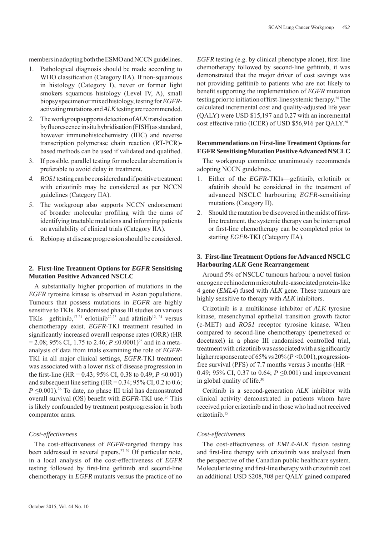members in adopting both the ESMO and NCCN guidelines.

- 1. Pathological diagnosis should be made according to WHO classification (Category IIA). If non-squamous in histology (Category I), never or former light smokers squamous histology (Level IV, A), small biopsy specimen or mixed histology, testing for *EGFR*activating mutations and *ALK* testing are recommended.
- 2. The workgroup supports detection of *ALK* translocation by fluorescence in situ hybridisation (FISH) as standard, however immunohistochemistry (IHC) and reverse transcription polymerase chain reaction (RT-PCR) based methods can be used if validated and qualified.
- 3. If possible, parallel testing for molecular aberration is preferable to avoid delay in treatment.
- *4. ROS1* testing can be considered and if positive treatment with crizotinib may be considered as per NCCN guidelines (Category IIA).
- 5. The workgroup also supports NCCN endorsement of broader molecular profiling with the aims of identifying tractable mutations and informing patients on availability of clinical trials (Category IIA).
- 6. Rebiopsy at disease progression should be considered.

## **2. First-line Treatment Options for** *EGFR* **Sensitising Mutation Positive Advanced NSCLC**

A substantially higher proportion of mutations in the *EGFR* tyrosine kinase is observed in Asian populations. Tumours that possess mutations in *EGFR* are highly sensitive to TKIs. Randomised phase III studies on various TKIs—gefitinib,<sup>17-21</sup> erlotinib<sup>22,23</sup> and afatinib<sup>12, 24</sup> versus chemotherapy exist. *EGFR*-TKI treatment resulted in significantly increased overall response rates (ORR) (HR  $= 2.08$ ; 95% CI, 1.75 to 2.46; *P* ≤0.0001)<sup>25</sup> and in a metaanalysis of data from trials examining the role of *EGFR*-TKI in all major clinical settings, *EGFR*-TKI treatment was associated with a lower risk of disease progression in the first-line (HR =  $0.43$ ; 95% CI, 0.38 to 0.49;  $P \le 0.001$ ) and subsequent line setting (HR =  $0.34$ ;  $95\%$  CI,  $0.2$  to  $0.6$ ;  $P \leq 0.001$ <sup>26</sup> To date, no phase III trial has demonstrated overall survival (OS) benefit with *EGFR*-TKI use.<sup>26</sup> This is likely confounded by treatment postprogression in both comparator arms.

## *Cost-effectiveness*

The cost-effectiveness of *EGFR*-targeted therapy has been addressed in several papers.27-29 Of particular note, in a local analysis of the cost-effectiveness of *EGFR*  testing followed by first-line gefitinib and second-line chemotherapy in *EGFR* mutants versus the practice of no

*EGFR* testing (e.g. by clinical phenotype alone), first-line chemotherapy followed by second-line gefitinib, it was demonstrated that the major driver of cost savings was not providing gefitinib to patients who are not likely to benefit supporting the implementation of *EGFR* mutation testing prior to initiation of first-line systemic therapy.<sup>28</sup> The calculated incremental cost and quality-adjusted life year (QALY) were USD \$15,197 and 0.27 with an incremental cost effective ratio (ICER) of USD \$56,916 per QALY.28

## **Recommendations on First-line Treatment Options for EGFR Sensitising Mutation Positive Advanced NSCLC**

The workgroup committee unanimously recommends adopting NCCN guidelines.

- 1. Either of the *EGFR*-TKIs-gefitinib, erlotinib or afatinib should be considered in the treatment of advanced NSCLC harbouring *EGFR*-sensitising mutations (Category II).
- 2. Should the mutation be discovered in the midst of firstline treatment, the systemic therapy can be interrupted or first-line chemotherapy can be completed prior to starting *EGFR*-TKI (Category IIA).

## **3. First-line Treatment Options for Advanced NSCLC Harbouring** *ALK* **Gene Rearrangement**

Around 5% of NSCLC tumours harbour a novel fusion oncogene echinoderm microtubule-associated protein-like 4 gene (*EML4*) fused with *ALK* gene. These tumours are highly sensitive to therapy with *ALK* inhibitors.

Crizotinib is a multikinase inhibitor of *ALK* tyrosine kinase, mesenchymal epithelial transition growth factor (c-MET) and *ROS1* receptor tyrosine kinase. When compared to second-line chemotherapy (pemetrexed or docetaxel) in a phase III randomised controlled trial, treatment with crizotinib was associated with a significantly higher response rate of  $65\%$  vs  $20\%$  ( $P \le 0.001$ ), progressionfree survival (PFS) of 7.7 months versus 3 months (HR  $=$ 0.49; 95% CI, 0.37 to 0.64; *P* ≤0.001) and improvement in global quality of life.30

Ceritinib is a second-generation *ALK* inhibitor with clinical activity demonstrated in patients whom have received prior crizotinib and in those who had not received crizotinib.15

## *Cost-effectiveness*

The cost-effectiveness of *EML4-ALK* fusion testing and first-line therapy with crizotinib was analysed from the perspective of the Canadian public healthcare system. Molecular testing and first-line therapy with crizotinib cost an additional USD \$208,708 per QALY gained compared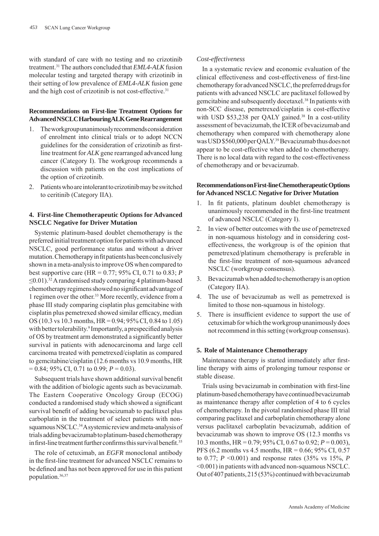with standard of care with no testing and no crizotinib treatment.31 The authors concluded that *EML4-ALK* fusion molecular testing and targeted therapy with crizotinib in their setting of low prevalence of *EML4-ALK* fusion gene and the high cost of crizotinib is not cost-effective.<sup>31</sup>

## **Recommendations on First-line Treatment Options for Advanced NSCLC Harbouring ALK Gene Rearrangement**

- 1. The workgroup unanimously recommends consideration of enrolment into clinical trials or to adopt NCCN guidelines for the consideration of crizotinib as firstline treatment for *ALK* gene rearranged advanced lung cancer (Category I). The workgroup recommends a discussion with patients on the cost implications of the option of crizotinib.
- 2. Patients who are intolerant to crizotinib may be switched to ceritinib (Category IIA).

## **4. First-line Chemotherapeutic Options for Advanced NSCLC Negative for Driver Mutation**

Systemic platinum-based doublet chemotherapy is the preferred initial treatment option for patients with advanced NSCLC, good performance status and without a driver mutation. Chemotherapy in fit patients has been conclusively shown in a meta-analysis to improve OS when compared to best supportive care (HR = 0.77; 95% CI, 0.71 to 0.83; *P*   $\leq$ 0.01).<sup>32</sup> A randomised study comparing 4 platinum-based chemotherapy regimens showed no significant advantage of 1 regimen over the other.33 More recently, evidence from a phase III study comparing cisplatin plus gemcitabine with cisplatin plus pemetrexed showed similar efficacy, median OS (10.3 vs 10.3 months, HR = 0.94; 95% CI, 0.84 to 1.05) with better tolerability.<sup>9</sup> Importantly, a prespecified analysis of OS by treatment arm demonstrated a significantly better survival in patients with adenocarcinoma and large cell carcinoma treated with pemetrexed/cisplatin as compared to gemcitabine/cisplatin (12.6 months vs 10.9 months, HR  $= 0.84$ ; 95% CI, 0.71 to 0.99;  $P = 0.03$ ).

Subsequent trials have shown additional survival benefit with the addition of biologic agents such as bevacizumab. The Eastern Cooperative Oncology Group (ECOG) conducted a randomised study which showed a significant survival benefit of adding bevacizumab to paclitaxel plus carboplatin in the treatment of select patients with nonsquamous NSCLC.<sup>34</sup> A systemic review and meta-analysis of trials adding bevacizumab to platinum-based chemotherapy in first-line treatment further confirms this survival benefit.<sup>35</sup>

The role of cetuximab, an *EGFR* monoclonal antibody in the first-line treatment for advanced NSCLC remains to be defined and has not been approved for use in this patient population.36,37

## *Cost-effectiveness*

In a systematic review and economic evaluation of the clinical effectiveness and cost-effectiveness of first-line chemotherapy for advanced NSCLC, the preferred drugs for patients with advanced NSCLC are paclitaxel followed by gemcitabine and subsequently docetaxel.38 In patients with non-SCC disease, pemetrexed/cisplatin is cost-effective with USD \$53,238 per QALY gained.<sup>38</sup> In a cost-utility assessment of bevacizumab, the ICER of bevacizumab and chemotherapy when compared with chemotherapy alone was USD \$560,000 per QALY.39 Bevacizumab thus does not appear to be cost-effective when added to chemotherapy. There is no local data with regard to the cost-effectiveness of chemotherapy and or bevacizumab.

## **Recommendations on First-line Chemotherapeutic Options for Advanced NSCLC Negative for Driver Mutation**

- 1. In fit patients, platinum doublet chemotherapy is unanimously recommended in the first-line treatment of advanced NSCLC (Category I).
- 2. In view of better outcomes with the use of pemetrexed in non-squamous histology and in considering costeffectiveness, the workgroup is of the opinion that pemetrexed/platinum chemotherapy is preferable in the first-line treatment of non-squamous advanced NSCLC (workgroup consensus).
- 3. Bevacizumab when added to chemotherapy is an option (Category IIA).
- 4. The use of bevacizumab as well as pemetrexed is limited to those non-squamous in histology.
- 5. There is insufficient evidence to support the use of cetuximab for which the workgroup unanimously does not recommend in this setting (workgroup consensus).

## **5. Role of Maintenance Chemotherapy**

Maintenance therapy is started immediately after firstline therapy with aims of prolonging tumour response or stable disease.

Trials using bevacizumab in combination with first-line platinum-based chemotherapy have continued bevacizumab as maintenance therapy after completion of 4 to 6 cycles of chemotherapy. In the pivotal randomised phase III trial comparing paclitaxel and carboplatin chemotherapy alone versus paclitaxel carboplatin bevacizumab, addition of bevacizumab was shown to improve OS (12.3 months vs 10.3 months, HR = 0.79; 95% CI, 0.67 to 0.92; *P* = 0.003), PFS (6.2 months vs 4.5 months, HR = 0.66; 95% CI, 0.57 to 0.77; *P* <0.001) and response rates (35% vs 15%, *P* <0.001) in patients with advanced non-squamous NSCLC. Out of 407 patients, 215 (53%) continued with bevacizumab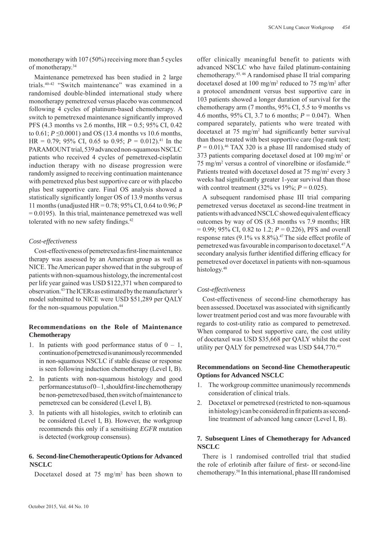monotherapy with 107 (50%) receiving more than 5 cycles of monotherapy.34

Maintenance pemetrexed has been studied in 2 large trials.40-42 "Switch maintenance" was examined in a randomised double-blinded international study where monotherapy pemetrexed versus placebo was commenced following 4 cycles of platinum-based chemotherapy. A switch to pemetrexed maintenance significantly improved PFS (4.3 months vs 2.6 months, HR = 0.5; 95% CI, 0.42 to  $0.61$ ;  $P \le 0.0001$ ) and OS (13.4 months vs 10.6 months, HR = 0.79; 95% CI, 0.65 to 0.95;  $P = 0.012$ ).<sup>41</sup> In the PARAMOUNT trial, 539 advanced non-squamous NSCLC patients who received 4 cycles of pemetrexed-cisplatin induction therapy with no disease progression were randomly assigned to receiving continuation maintenance with pemetrexed plus best supportive care or with placebo plus best supportive care. Final OS analysis showed a statistically significantly longer OS of 13.9 months versus 11 months (unadjusted HR = 0.78; 95% CI, 0.64 to 0.96; *P*   $= 0.0195$ ). In this trial, maintenance pemetrexed was well tolerated with no new safety findings.<sup>42</sup>

## *Cost-effectiveness*

Cost-effectiveness of pemetrexed as first-line maintenance therapy was assessed by an American group as well as NICE. The American paper showed that in the subgroup of patients with non-squamous histology, the incremental cost per life year gained was USD \$122,371 when compared to observation.43 The ICERs as estimated by the manufacturer's model submitted to NICE were USD \$51,289 per QALY for the non-squamous population.<sup>44</sup>

## **Recommendations on the Role of Maintenance Chemotherapy**

- 1. In patients with good performance status of  $0 1$ , continuation of pemetrexed is unanimously recommended in non-squamous NSCLC if stable disease or response is seen following induction chemotherapy (Level I, B).
- 2. In patients with non-squamous histology and good performance status of  $0-1$ , should first-line chemotherapy be non-pemetrexed based, then switch of maintenance to pemetrexed can be considered (Level I, B).
- 3. In patients with all histologies, switch to erlotinib can be considered (Level I, B). However, the workgroup recommends this only if a sensitising *EGFR* mutation is detected (workgroup consensus).

## **6. Second-line Chemotherapeutic Options for Advanced NSCLC**

Docetaxel dosed at  $75 \text{ mg/m}^2$  has been shown to

offer clinically meaningful benefit to patients with advanced NSCLC who have failed platinum-containing chemotherapy.45, 46 A randomised phase II trial comparing docetaxel dosed at 100 mg/m<sup>2</sup> reduced to 75 mg/m<sup>2</sup> after a protocol amendment versus best supportive care in 103 patients showed a longer duration of survival for the chemotherapy arm (7 months, 95% CI, 5.5 to 9 months vs 4.6 months, 95% CI, 3.7 to 6 months; *P* = 0.047). When compared separately, patients who were treated with docetaxel at  $75 \text{ mg/m}^2$  had significantly better survival than those treated with best supportive care (log-rank test;  $P = 0.01$ <sup>46</sup> TAX 320 is a phase III randomised study of 373 patients comparing docetaxel dosed at 100 mg/m2 or 75 mg/m2 versus a control of vinorelbine or ifosfamide.45 Patients treated with docetaxel dosed at 75 mg/m<sup>2</sup> every 3 weeks had significantly greater 1-year survival than those with control treatment  $(32\% \text{ vs } 19\%; P = 0.025)$ .

A subsequent randomised phase III trial comparing pemetrexed versus docetaxel as second-line treatment in patients with advanced NSCLC showed equivalent efficacy outcomes by way of OS (8.3 months vs 7.9 months; HR = 0.99; 95% CI, 0.82 to 1.2; *P* = 0.226), PFS and overall response rates  $(9.1\% \text{ vs } 8.8\%)$ .<sup>47</sup> The side effect profile of pemetrexed was favourable in comparison to docetaxel.47 A secondary analysis further identified differing efficacy for pemetrexed over docetaxel in patients with non-squamous histology.<sup>48</sup>

## *Cost-effectiveness*

Cost-effectiveness of second-line chemotherapy has been assessed. Docetaxel was associated with significantly lower treatment period cost and was more favourable with regards to cost-utility ratio as compared to pemetrexed. When compared to best supportive care, the cost utility of docetaxel was USD \$35,668 per QALY whilst the cost utility per QALY for pemetrexed was USD \$44,770.<sup>49</sup>

## **Recommendations on Second-line Chemotherapeutic Options for Advanced NSCLC**

- 1. The workgroup committee unanimously recommends consideration of clinical trials.
- 2. Docetaxel or pemetrexed (restricted to non-squamous in histology) can be considered in fit patients as secondline treatment of advanced lung cancer (Level I, B).

## **7. Subsequent Lines of Chemotherapy for Advanced NSCLC**

There is 1 randomised controlled trial that studied the role of erlotinib after failure of first- or second-line chemotherapy.50 In this international, phase III randomised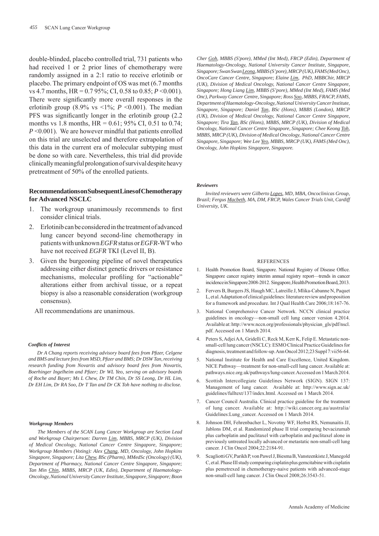double-blinded, placebo controlled trial, 731 patients who had received 1 or 2 prior lines of chemotherapy were randomly assigned in a 2:1 ratio to receive erlotinib or placebo. The primary endpoint of OS was met (6.7 months vs 4.7 months, HR = 0.7 95%; CI, 0.58 to 0.85; *P* <0.001). There were significantly more overall responses in the erlotinib group (8.9% vs  $\leq$ 1%; *P*  $\leq$ 0.001). The median PFS was significantly longer in the erlotinib group (2.2) months vs 1.8 months,  $HR = 0.61$ ; 95% CI, 0.51 to 0.74; *P* <0.001). We are however mindful that patients enrolled on this trial are unselected and therefore extrapolation of this data in the current era of molecular subtyping must be done so with care. Nevertheless, this trial did provide clinically meaningful prolongation of survival despite heavy pretreatment of 50% of the enrolled patients.

## **Recommendations on Subsequent Lines of Chemotherapy for Advanced NSCLC**

- 1. The workgroup unanimously recommends to first consider clinical trials.
- 2. Erlotinib can be considered in the treatment of advanced lung cancer beyond second-line chemotherapy in patients with unknown *EGFR* status or *EGFR*-WT who have not received *EGFR* TKI (Level II, B).
- 3. Given the burgeoning pipeline of novel therapeutics addressing either distinct genetic drivers or resistance mechanisms, molecular profiling for "actionable" alterations either from archival tissue, or a repeat biopsy is also a reasonable consideration (workgroup consensus).
	- All recommendations are unanimous.

#### *Confl icts of Interest*

*Dr A Chang reports receiving advisory board fees from Pfi zer, Celgene and BMS and lecture fees from MSD, Pfi zer and BMS; Dr DSW Tan, receiving research funding from Novartis and advisory board fees from Novartis, Boerhinger Ingelheim and Pfi zer; Dr WL Yeo, serving on advisory boards of Roche and Bayer; Ms L Chew, Dr TM Chin, Dr SS Leong, Dr HL Lim, Dr EH Lim, Dr RA Soo, Dr T Tan and Dr CK Toh have nothing to disclose.*

#### *Workgroup Members*

*The Members of the SCAN Lung Cancer Workgroup are Section Lead and Workgroup Chairperson: Darren Lim, MBBS, MRCP (UK), Division of Medical Oncology, National Cancer Centre Singapore, Singapore; Workgroup Members (Voting): Alex Chang, MD, Oncology, John Hopkins Singapore, Singapore; Lita Chew, BSc (Pharm), MMedSc (Oncology) (UK), Department of Pharmacy, National Cancer Centre Singapore, Singapore; Tan Min Chin, MBBS, MRCP (UK, Edin), Department of Haematology-Oncology, National University Cancer Institute, Singapore, Singapore; Boon* 

*Cher Goh, MBBS (S'pore), MMed (Int Med), FRCP (Edin), Department of Haematology-Oncology, National University Cancer Institute, Singapore, Singapore; Swan Swan Leong, MBBS (S'pore), MRCP (UK), FAMS (Med Onc), OncoCare Cancer Centre, Singapore; Elaine Lim, PhD, MBBChir, MRCP (UK), Division of Medical Oncology, National Cancer Centre Singapore, Singapore; Hong Liang Lim, MBBS (S'pore), MMed (Int Med), FAMS (Med Onc), Parkway Cancer Centre, Singapore; Ross Soo, MBBS, FRACP, FAMS, Department of Haematology-Oncology, National University Cancer Institute, Singapore, Singapore; Daniel Tan, BSc (Hons), MBBS (London), MRCP (UK), Division of Medical Oncology, National Cancer Centre Singapore, Singapore; Tira Tan, BSc (Hons), MBBS, MRCP (UK), Division of Medical Oncology, National Cancer Centre Singapore, Singapore; Chee Keong Toh, MBBS, MRCP (UK), Division of Medical Oncology, National Cancer Centre Singapore, Singapore; Wee Lee Yeo, MBBS, MRCP (UK), FAMS (Med Onc), Oncology, John Hopkins Singapore, Singapore.*

#### *Reviewers*

*Invited reviewers were Gilberto Lopes, MD, MBA, Oncoclinicas Group, Brazil; Fergus Macbeth, MA, DM, FRCP, Wales Cancer Trials Unit, Cardiff University, UK.*

#### **REFERENCES**

- 1. Health Promotion Board, Singapore. National Registry of Disease Office. Singapore cancer registry interim annual registry report—trends in cancer incidence in Singapore 2008-2012. Singapore, Health Promotion Board, 2013.
- 2. Fervers B, Burgers JS, Haugh MC, Latreille J, Mlika-Cabanne N, Paquet L, et al. Adaptation of clinical guidelines: literature review and proposition for a framework and procedure. Int J Qual Health Care 2006;18:167-76.
- 3. National Comprehensive Cancer Network. NCCN clinical practice guidelines in oncology—non-small cell lung cancer version 4.2014. Available at: http://www.nccn.org/professionals/physician\_gls/pdf/nscl. pdf. Accessed on 1 March 2014.
- 4. Peters S, Adjei AA, Gridelli C, Reck M, Kerr K, Felip E. Metastatic nonsmall-cell lung cancer (NSCLC): ESMO Clinical Practice Guidelines for diagnosis, treatment and follow-up. Ann Oncol 2012;23 Suppl 7:vii56-64.
- 5. National Institute for Health and Care Excellence, United Kingdom. NICE Pathway—treatment for non-small-cell lung cancer. Available at: pathways.nice.org.uk/pathways/lung-cancer. Accessed on 1 March 2014.
- 6. Scottish Intercollegiate Guidelines Network (SIGN). SIGN 137: Management of lung cancer. Available at: http://www.sign.ac.uk/ guidelines/fulltext/137/index.html. Accessed on 1 March 2014.
- 7. Cancer Council Australia. Clinical practice guideline for the treatment of lung cancer. Available at: http://wiki.cancer.org.au/australia/ Guidelines:Lung\_cancer. Accessed on 1 March 2014.
- 8. Johnson DH, Fehrenbacher L, Novotny WF, Herbst RS, Nemunaitis JJ, Jablons DM, et al. Randomized phase II trial comparing bevacizumab plus carboplatin and paclitaxel with carboplatin and paclitaxel alone in previously untreated locally advanced or metastatic non-small-cell lung cancer. J Clin Oncol 2004;22:2184-91.
- 9. Scagliotti GV, Parikh P, von Pawel J, Biesma B, Vansteenkiste J, Manegold C, et al. Phase III study comparing cisplatin plus gemcitabine with cisplatin plus pemetrexed in chemotherapy-naive patients with advanced-stage non-small-cell lung cancer. J Clin Oncol 2008;26:3543-51.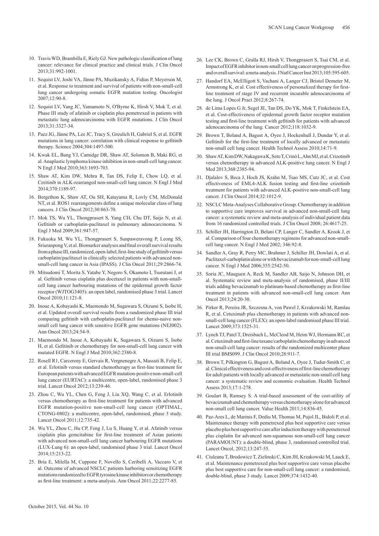- 10. Travis WD, Brambilla E, Riely GJ. New pathologic classification of lung cancer: relevance for clinical practice and clinical trials. J Clin Oncol 2013;31:992-1001.
- 11. Sequist LV, Joshi VA, Jänne PA, Muzikansky A, Fidias P, Meyerson M, et al. Response to treatment and survival of patients with non-small-cell lung cancer undergoing somatic EGFR mutation testing. Oncologist  $2007 \cdot 12 \cdot 90 - 8$
- 12. Sequist LV, Yang JC, Yamamoto N, O'Byrne K, Hirsh V, Mok T, et al. Phase III study of afatinib or cisplatin plus pemetrexed in patients with metastatic lung adenocarcinoma with EGFR mutations. J Clin Oncol 2013;31:3327-34.
- 13. Paez JG, Jänne PA, Lee JC, Tracy S, Greulich H, Gabriel S, et al. EGFR mutations in lung cancer: correlation with clinical response to gefitinib therapy. Science 2004;304:1497-500.
- 14. Kwak EL, Bang YJ, Camidge DR, Shaw AT, Solomon B, Maki RG, et al. Anaplastic lymphoma kinase inhibition in non-small-cell lung cancer. N Engl J Med 2010;363:1693-703.
- 15. Shaw AT, Kim DW, Mehra R, Tan DS, Felip E, Chow LQ, et al. Ceritinib in ALK-rearranged non-small-cell lung cancer. N Engl J Med 2014;370:1189-97.
- 16. Bergethon K, Shaw AT, Ou SH, Katayama R, Lovly CM, McDonald NT, et al. ROS1 rearrangements define a unique molecular class of lung cancers. J Clin Oncol 2012;30:863-70.
- 17. Mok TS, Wu YL, Thongprasert S, Yang CH, Chu DT, Saijo N, et al. Gefitinib or carboplatin-paclitaxel in pulmonary adenocarcinoma. N Engl J Med 2009;361:947-57.
- 18. Fukuoka M, Wu YL, Thongprasert S, Sunpaweravong P, Leong SS,  $Sriurannon<sub>g</sub> V<sub>e</sub> t a l. Biomarker analyses and final overall survival results$ from a phase III, randomized, open-label, first-line study of gefitinib versus carboplatin/paclitaxel in clinically selected patients with advanced nonsmall-cell lung cancer in Asia (IPASS). J Clin Oncol 2011;29:2866-74.
- 19. Mitsudomi T, Morita S, Yatabe Y, Negoro S, Okamoto I, Tsurutani J, et al. Gefitinib versus cisplatin plus docetaxel in patients with non-smallcell lung cancer harbouring mutations of the epidermal growth factor receptor (WJTOG3405): an open label, randomised phase 3 trial. Lancet Oncol 2010;11:121-8.
- 20. Inoue A, Kobayashi K, Maemondo M, Sugawara S, Oizumi S, Isobe H, et al. Updated overall survival results from a randomized phase III trial comparing gefitinib with carboplatin-paclitaxel for chemo-naive nonsmall cell lung cancer with sensitive EGFR gene mutations (NEJ002). Ann Oncol 2013;24:54-9.
- 21. Maemondo M, Inoue A, Kobayashi K, Sugawara S, Oizumi S, Isobe H, et al. Gefitinib or chemotherapy for non-small-cell lung cancer with mutated EGFR. N Engl J Med 2010;362:2380-8.
- 22. Rosell R1, Carcereny E, Gervais R, Vergnenegre A, Massuti B, Felip E, et al. Erlotinib versus standard chemotherapy as first-line treatment for European patients with advanced EGFR mutation-positive non-small-cell lung cancer (EURTAC): a multicentre, open-label, randomised phase 3 trial. Lancet Oncol 2012;13:239-46.
- 23. Zhou C, Wu YL, Chen G, Feng J, Liu XQ, Wang C, et al. Erlotinib versus chemotherapy as first-line treatment for patients with advanced EGFR mutation-positive non-small-cell lung cancer (OPTIMAL, CTONG-0802): a multicentre, open-label, randomised, phase 3 study. Lancet Oncol 2011;12:735-42.
- 24. Wu YL, Zhou C, Hu CP, Feng J, Lu S, Huang Y, et al. Afatinib versus cisplatin plus gemcitabine for first-line treatment of Asian patients with advanced non-small-cell lung cancer harbouring EGFR mutations (LUX-Lung 6): an open-label, randomised phase 3 trial. Lancet Oncol 2014;15:213-22.
- 25. Bria E, Milella M, Cuppone F, Novello S, Ceribelli A, Vaccaro V, et al. Outcome of advanced NSCLC patients harboring sensitizing EGFR mutations randomized to EGFR tyrosine kinase inhibitors or chemotherapy as fi rst-line treatment: a meta-analysis. Ann Oncol 2011;22:2277-85.
- 26. Lee CK, Brown C, Gralla RJ, Hirsh V, Thongprasert S, Tsai CM, et al. Impact of EGFR inhibitor in non-small cell lung cancer on progression-free and overall survival: a meta-analysis. J Natl Cancer Inst 2013;105:595-605.
- 27. Handorf EA, McElligott S, Vachani A, Langer CJ, Bristol Demeter M, Armstrong K, et al. Cost effectiveness of personalized therapy for firstline treatment of stage IV and recurrent incurable adenocarcinoma of the lung. J Oncol Pract 2012;8:267-74.
- 28. de Lima Lopes G Jr, Segel JE, Tan DS, Do YK, Mok T, Finkelstein EA, et al. Cost-effectiveness of epidermal growth factor receptor mutation testing and first-line treatment with gefitinib for patients with advanced adenocarcinoma of the lung. Cancer 2012;118:1032-9.
- 29. Brown T, Boland A, Bagust A, Oyee J, Hockenhull J, Dundar Y, et al. Gefitinib for the first-line treatment of locally advanced or metastatic non-small cell lung cancer. Health Technol Assess 2010;14:71-9.
- 30. Shaw AT, Kim DW, Nakagawa K, Seto T, Crinó L, Ahn MJ, et al. Crizotinib versus chemotherapy in advanced ALK-positive lung cancer. N Engl J Med 2013;368:2385-94.
- 31. Djalalov S, Beca J, Hoch JS, Krahn M, Tsao MS, Cutz JC, et al. Cost effectiveness of EML4-ALK fusion testing and first-line crizotinib treatment for patients with advanced ALK-positive non-small-cell lung cancer. J Clin Oncol 2014;32:1012-9.
- 32. NSCLC Meta-Analyses Collaborative Group. Chemotherapy in addition to supportive care improves survival in advanced non-small-cell lung cancer: a systematic review and meta-analysis of individual patient data from 16 randomized controlled trials. J Clin Oncol 2008; 26:4617-25.
- 33. Schiller JH, Harrington D, Belani CP, Langer C, Sandler A, Krook J, et al. Comparison of four chemotherapy regimens for advanced non-smallcell lung cancer. N Engl J Med 2002; 346:92-8.
- 34. Sandler A, Gray R, Perry MC, Brahmer J, Schiller JH, Dowlati A, et al. Paclitaxel-carboplatin alone or with bevacizumab for non-small-cell lung cancer. N Engl J Med 2006;355:2542-50.
- 35. Soria JC, Mauguen A, Reck M, Sandler AB, Saijo N, Johnson DH, et al. Systematic review and meta-analysis of randomised, phase II/III trials adding bevacizumab to platinum-based chemotherapy as first-line treatment in patients with advanced non-small-cell lung cancer. Ann Oncol 2013;24:20-30.
- 36. Pirker R, Pereira JR, Szczesna A, von Pawel J, Krzakowski M, Ramlau R, et al. Cetuximab plus chemotherapy in patients with advanced nonsmall-cell lung cancer (FLEX): an open-label randomised phase III trial. Lancet 2009;373:1525-31.
- 37. Lynch TJ, Patel T, Dreisbach L, McCleod M, Heim WJ, Hermann RC, et al. Cetuximab and first-line taxane/carboplatin chemotherapy in advanced non-small-cell lung cancer: results of the randomized multicenter phase III trial BMS099. J Clin Oncol 2010;28:911-7.
- 38. Brown T, Pilkington G, Bagust A, Boland A, Oyee J, Tudur-Smith C, et al. Clinical effectiveness and cost-effectiveness of first-line chemotherapy for adult patients with locally advanced or metastatic non-small cell lung cancer: a systematic review and economic evaluation. Health Technol Assess 2013;17:1-278.
- 39. Goulart B, Ramsey S. A trial-based assessment of the cost-utility of bevacizumab and chemotherapy versus chemotherapy alone for advanced non-small cell lung cancer. Value Health 2011;14:836-45.
- 40. Paz-Ares L, de Marinis F, Dediu M, Thomas M, Pujol JL, Bidoli P, et al. Maintenance therapy with pemetrexed plus best supportive care versus placebo plus best supportive care after induction therapy with pemetrexed plus cisplatin for advanced non-squamous non-small-cell lung cancer (PARAMOUNT): a double-blind, phase 3, randomised controlled trial. Lancet Oncol, 2012;13:247-55.
- 41. Ciuleanu T, Brodowicz T, Zielinski C, Kim JH, Krzakowski M, Laack E, et al. Maintenance pemetrexed plus best supportive care versus placebo plus best supportive care for non-small-cell lung cancer: a randomised, double-blind, phase 3 study. Lancet 2009;374:1432-40.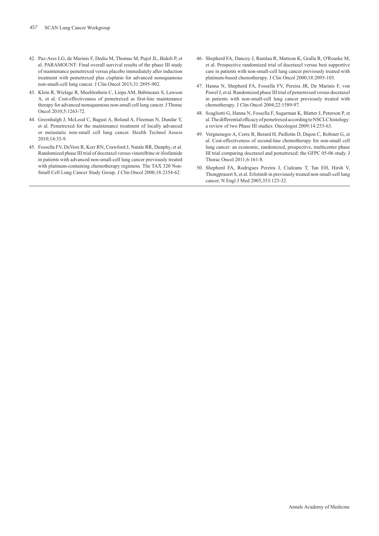- 42. Paz-Ares LG, de Marinis F, Dediu M, Thomas M, Pujol JL, Bidoli P, et al. PARAMOUNT: Final overall survival results of the phase III study of maintenance pemetrexed versus placebo immediately after induction treatment with pemetrexed plus cisplatin for advanced nonsquamous non-small-cell lung cancer. J Clin Oncol 2013;31:2895-902.
- 43. Klein R, Wielage R, Muehlenbein C, Liepa AM, Babineaux S, Lawson A, et al. Cost-effectiveness of pemetrexed as first-line maintenance therapy for advanced nonsquamous non-small cell lung cancer. J Thorac Oncol 2010;5:1263-72.
- 44. Greenhalgh J, McLeod C, Bagust A, Boland A, Fleeman N, Dundar Y, et al. Pemetrexed for the maintenance treatment of locally advanced or metastatic non-small cell lung cancer. Health Technol Assess  $2010:14:33-9$
- 45. Fossella FV, DeVore R, Kerr RN, Crawford J, Natale RR, Dunphy, et al. Randomized phase III trial of docetaxel versus vinorelbine or ifosfamide in patients with advanced non-small-cell lung cancer previously treated with platinum-containing chemotherapy regimens. The TAX 320 Non-Small Cell Lung Cancer Study Group. J Clin Oncol 2000;18:2354-62.
- 46. Shepherd FA, Dancey J, Ramlau R, Mattson K, Gralla R, O'Rourke M, et al. Prospective randomized trial of docetaxel versus best supportive care in patients with non-small-cell lung cancer previously treated with platinum-based chemotherapy. J Clin Oncol 2000;18:2095-103.
- 47. Hanna N, Shepherd FA, Fossella FV, Pereira JR, De Marinis F, von Pawel J, et al. Randomized phase III trial of pemetrexed versus docetaxel in patients with non-small-cell lung cancer previously treated with chemotherapy. J Clin Oncol 2004;22:1589-97.
- 48. Scagliotti G, Hanna N, Fossella F, Sugarman K, Blatter J, Peterson P, et al. The differential efficacy of pemetrexed according to NSCLC histology: a review of two Phase III studies. Oncologist 2009;14:253-63.
- 49. Vergnenegre A, Corre R, Berard H, Paillotin D, Dujon C, Robinet G, et al. Cost-effectiveness of second-line chemotherapy for non-small cell lung cancer: an economic, randomized, prospective, multicenter phase III trial comparing docetaxel and pemetrexed: the GFPC 05-06 study. J Thorac Oncol 2011;6:161-8.
- 50. Shepherd FA, Rodrigues Pereira J, Ciuleanu T, Tan EH, Hirsh V, Thongprasert S, et al. Erlotinib in previously treated non-small-cell lung cancer. N Engl J Med 2005;353:123-32.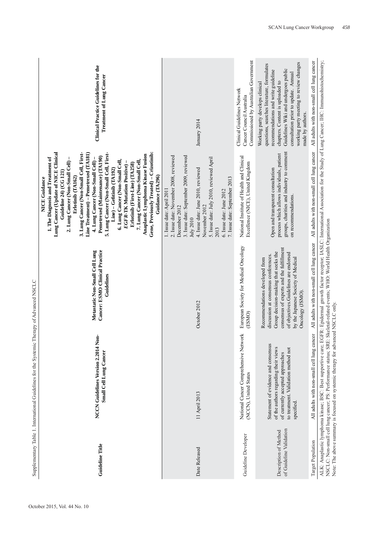|                                                  | Supplementary Table 1. International Guidelines for the Systemic Therapy of Advanced NSCLC                                                                                                                                                                                                                           |                                                                                                                                                                                                                                                               |                                                                                                                                                                                                                                                                                                                                                                                                                                                                                                                                                                                                                                                              |                                                                                                                                                                                                                                                                                                         |
|--------------------------------------------------|----------------------------------------------------------------------------------------------------------------------------------------------------------------------------------------------------------------------------------------------------------------------------------------------------------------------|---------------------------------------------------------------------------------------------------------------------------------------------------------------------------------------------------------------------------------------------------------------|--------------------------------------------------------------------------------------------------------------------------------------------------------------------------------------------------------------------------------------------------------------------------------------------------------------------------------------------------------------------------------------------------------------------------------------------------------------------------------------------------------------------------------------------------------------------------------------------------------------------------------------------------------------|---------------------------------------------------------------------------------------------------------------------------------------------------------------------------------------------------------------------------------------------------------------------------------------------------------|
| <b>Guideline Title</b>                           | NCCN Guidelines Version 2.2014 Non-<br>Small Cell Lung Cancer                                                                                                                                                                                                                                                        | Cancer: ESMO Clinical Practice<br>Metastatic Non-Small Cell Lung<br>Guidelines                                                                                                                                                                                | Line Treatment) – Pemetrexed (TA181)<br>Gene, Previously Treated) - Crizotinib:<br>Lung Cancer (Update of NICE Clinical<br>3. Lung Cancer (Non-Small Cell, First-<br>5. Lung Cancer (Non-Small Cell, First-<br>Anaplastic Lymphoma Kinase Fusion<br>Pemetrexed (Maintenance) (TA190)<br>1. The Diagnosis and Treatment of<br>2. Lung Cancer (Non-Small Cell) -<br>4. Lung Cancer (Non-Small Cell)-<br>6. Lung Cancer (Non-Small Cell,<br>7. Lung Cancer (Non-Small Cell,<br>Erlotinib (First-Line) (TA258)<br>EGFR-TK Mutation Positive)<br>$Line$ ) – Gefitinib (TA192)<br>Guideline 24) (CG 121)<br>Guidance (TA296)<br>Erlotinib (TA162)<br>NICE Guidance | Clinical Practice Guidelines for the<br><b>Treatment of Lung Cancer</b>                                                                                                                                                                                                                                 |
| Date Released                                    | 11 April 2013                                                                                                                                                                                                                                                                                                        | October 2012                                                                                                                                                                                                                                                  | 2. Issue date: November 2008, reviewed<br>3. Issue date: September 2009, reviewed<br>5. Issue date: July 2010, reviewed April<br>4. Issue date: June 2010, reviewed<br>7. Issue date: September 2013<br>1. Issue date: April 2011<br>6. Issue date: June 2012<br>December 2012<br>November 2012<br>July 2010<br>2013                                                                                                                                                                                                                                                                                                                                         | January 2014                                                                                                                                                                                                                                                                                            |
| Guideline Developer                              | National Cancer Comprehensive Network<br>(NCCN), United States                                                                                                                                                                                                                                                       | European Society for Medical Oncology<br>(ESMO)                                                                                                                                                                                                               | National Institute of Health and Clinical<br>Excellence (NICE), United Kingdom                                                                                                                                                                                                                                                                                                                                                                                                                                                                                                                                                                               | Commissioned by Australian Government<br>Clinical Guidelines Network<br>Cancer Council Australia                                                                                                                                                                                                        |
| of Guideline Validation<br>Description of Method | Statement of evidence and consensus<br>of the authors regarding their views<br>to treatment. Validation method not<br>of currently accepted approaches<br>specified.                                                                                                                                                 | consensus of experts and the fulfillment<br>Group decision-making that seeks the<br>of objectives. Guidelines are endorsed<br>discussion at consensus conferences.<br>by the Japanese Society of Medical<br>Recommendations developed from<br>Oncology (JSMO) | groups, charities and industry to comment<br>process which allows individuals, patient<br>Open and transparent consultation<br>on recommendations.                                                                                                                                                                                                                                                                                                                                                                                                                                                                                                           | working party meeting to review changes<br>questions, searches literature, formulates<br>Guidelines Wiki and undergoes public<br>recommendations and write guideline<br>consultation prior to update. Annual<br>chapters. Content is uploaded to<br>Working party develops clinical<br>made by authors. |
| Target Population                                | All adults with non-small cell lung cancer                                                                                                                                                                                                                                                                           | All adults with non-small cell lung cancer                                                                                                                                                                                                                    | All adults with non-small cell lung cancer                                                                                                                                                                                                                                                                                                                                                                                                                                                                                                                                                                                                                   | All adults with non-small cell lung cancer                                                                                                                                                                                                                                                              |
|                                                  | ALK: Anaplastic lymphoma kinase; BSC: Best supportive care; EGFR: Epidermal growth factor receptor; IASLC: International Association for the Study of Lung Cancer; IHC: Immunohistochemistry;<br>NSCLC: Non-small cell lung cance<br>Note: The above summary is focused on systemic therapy for advanced NSCLC only. |                                                                                                                                                                                                                                                               |                                                                                                                                                                                                                                                                                                                                                                                                                                                                                                                                                                                                                                                              |                                                                                                                                                                                                                                                                                                         |

October 2015, Vol. 44 No. 10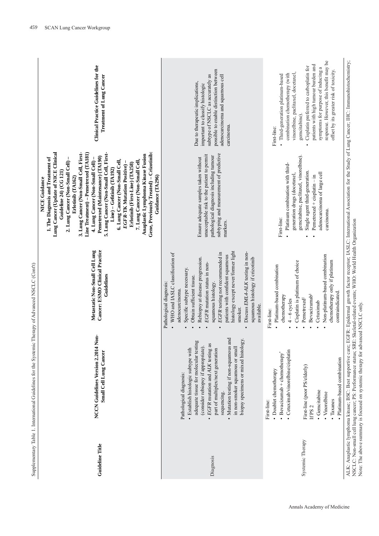| <b>Guideline Title</b> | NCCN Guidelines Version 2.2014 Non-<br>Small Cell Lung Cancer                                                                                                                                                                                                                                                                                                         | Cancer: ESMO Clinical Practice<br>Metastatic Non-Small Cell Lung<br>Guidelines                                                                                                                                                                                                                                                                                                                                                                     | Gene, Previously Treated) - Crizotinib:<br>Lung Cancer (Update of NICE Clinical<br>Line Treatment) – Pemetrexed (TA181)<br>3. Lung Cancer (Non-Small Cell, First-<br>5. Lung Cancer (Non-Small Cell, First-<br>Anaplastic Lymphoma Kinase Fusion<br>Pemetrexed (Maintenance) (TA190)<br>1. The Diagnosis and Treatment of<br>4. Lung Cancer (Non-Small Cell)<br>6. Lung Cancer (Non-Small Cell,<br>7. Lung Cancer (Non-Small Cell,<br>2. Lung Cancer (Non-Small Cell)<br>Erlotinib (First-Line) (TA258)<br>EGFR-TK Mutation Positive)<br>Line) – Gefitinib (TA192)<br>Guideline 24) (CG 121)<br>Guidance (TA296)<br>Erlotinib (TA162)<br><b>NICE Guidance</b> | Clinical Practice Guidelines for the<br>Treatment of Lung Cancer                                                                                                                                                                                                                                                                                        |
|------------------------|-----------------------------------------------------------------------------------------------------------------------------------------------------------------------------------------------------------------------------------------------------------------------------------------------------------------------------------------------------------------------|----------------------------------------------------------------------------------------------------------------------------------------------------------------------------------------------------------------------------------------------------------------------------------------------------------------------------------------------------------------------------------------------------------------------------------------------------|---------------------------------------------------------------------------------------------------------------------------------------------------------------------------------------------------------------------------------------------------------------------------------------------------------------------------------------------------------------------------------------------------------------------------------------------------------------------------------------------------------------------------------------------------------------------------------------------------------------------------------------------------------------|---------------------------------------------------------------------------------------------------------------------------------------------------------------------------------------------------------------------------------------------------------------------------------------------------------------------------------------------------------|
| Diagnosis              | Mutation testing if non-squamous and<br>adequate tissue for molecular testing<br>biopsy specimens or mixed histology<br>EGFR mutation and ALK testing as<br>in non-smoker squamous or small<br>(consider rebiopsy if appropriate).<br>· Establish histologic subtype with<br>part of multiplex/next generation<br>Pathological diagnosis:<br>sequencing.<br>$\bullet$ | histology except never/former light<br>Discuss EML4-ALK testing in non-<br>EGFR testing not recommended in<br>WHO and IASLC classification of<br>patients with confident squamous<br>Rebiopsy at disease progression.<br>squamous histology if crizotinib<br>EGFR mutation status in non-<br>Specific subtype necessary.<br>Obtain sufficient tissue.<br>squamous histology.<br>Pathological diagnosis:<br>adenocarcinoma<br>available.<br>smoker. | subtyping and measurement of predictive<br>unacceptable risk to the patient to permit<br>pathological diagnosis including tumour<br>Ensure adequate samples taken without<br>markers.                                                                                                                                                                                                                                                                                                                                                                                                                                                                         | possible to enable distinction between<br>subtype of NSCLC as accurately as<br>adenocarcinoma and squamous cell<br>Due to therapeutic implications,<br>important to classify histologic<br>carcinoma.                                                                                                                                                   |
| Systemic Therapy       | Cetuximab/vinorelbine/cisplatin<br>$\bullet$ Bevacizumab + chemotherapy*<br>· Platinum-based combination<br>First-line (poor PS/elderly)<br>• Doublet chemotherapy<br>· Gemcitabine<br>• Vinorelbine<br>• Taxanes<br>First-line:<br>If PS <sub>2</sub>                                                                                                                | Non-platinum-based combination<br>chemotherapy only if platinum<br>Cisplatin is platinum of choice<br>· Platinum-based combination<br>contraindicated.<br><b>Bevacizumab</b> <sup>§</sup><br>chemotherapy<br>Pemetrexed <sup>#</sup><br>$4-6$ cycles<br>Cetuximab<br>First-line:                                                                                                                                                                   | gemcitabine, paclitaxel, vinorelbine).<br>Platinum combination with third-<br>Single agent third-generation.<br>adenocarcinoma of large cell<br>generation drugs (docetaxel,<br>$P$ emetrexed + cisplatin - in<br>carcinoma.<br>First-line:                                                                                                                                                                                                                                                                                                                                                                                                                   | response. However, this benefit may be<br>patients with high tumour burden and<br>Cisplatin preferred to carboplatin for<br>symptoms for purpose of inducing a<br>offset by its greater risk of toxicity.<br>combination chemotherapy (with<br>vinorelbine, paclitaxel, docetaxel,<br>· Third-generation platinum-based<br>gemcitabine).<br>First-line: |

Annals Academy of Medicine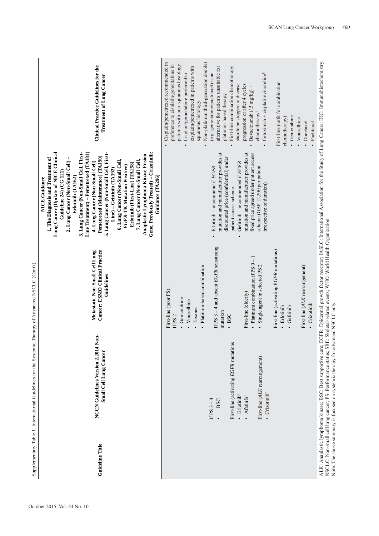| Guideline Title | ģ<br>NCCN Guidelines Version 2.2014 No<br>Small Cell Lung Cancer | Cancer: ESMO Clinical Practice<br>Metastatic Non-Small Cell Lung<br>Guidelines | Gene, Previously Treated) - Crizotinib:<br>Lung Cancer (Update of NICE Clinical<br>Line Treatment) – Pemetrexed (TA181)<br>3. Lung Cancer (Non-Small Cell, First-<br>5. Lung Cancer (Non-Small Cell, First-<br>Anaplastic Lymphoma Kinase Fusion<br>Pemetrexed (Maintenance) (TA190)<br>1. The Diagnosis and Treatment of<br>4. Lung Cancer (Non-Small Cell) -<br>6. Lung Cancer (Non-Small Cell,<br>7. Lung Cancer (Non-Small Cell,<br>2. Lung Cancer (Non-Small Cell)<br>Erlotinib (First-Line) (TA258)<br>EGFR-TK Mutation Positive)<br>$Line$ ) – Gefitinib $(TA192)$<br>Guideline 24) (CG 121)<br>Guidance (TA296)<br>Erlotinib (TA162)<br>NICE Guidance | Clinical Practice Guidelines for the<br>Treatment of Lung Cancer                                                                                                                                     |
|-----------------|------------------------------------------------------------------|--------------------------------------------------------------------------------|---------------------------------------------------------------------------------------------------------------------------------------------------------------------------------------------------------------------------------------------------------------------------------------------------------------------------------------------------------------------------------------------------------------------------------------------------------------------------------------------------------------------------------------------------------------------------------------------------------------------------------------------------------------|------------------------------------------------------------------------------------------------------------------------------------------------------------------------------------------------------|
|                 |                                                                  | First-line (poor PS):<br>· Gencitabine<br>Vinorelbine<br>If PS <sub>2</sub>    |                                                                                                                                                                                                                                                                                                                                                                                                                                                                                                                                                                                                                                                               | Cisplatin/pemetrexed recommended in<br>patients with non-squamous histology.<br>preference to cisplatin/gemcitabine in<br>cisplatin/pemetrexed in patients with<br>Cisplain/gemcitabine preferred to |
|                 |                                                                  | Platinum-based combination<br>Taxanes                                          |                                                                                                                                                                                                                                                                                                                                                                                                                                                                                                                                                                                                                                                               | Non-platinum third-generation doublet<br>squamous histology.<br>$\bullet$                                                                                                                            |
|                 | If $PS3-4$<br><b>BSC</b>                                         | If PS $3 - 4$ and absent EGFR sensitising<br>mutation                          | mutation and manufacturer provides at<br>discounted price (confidential) under<br>Erlotinib - recommend if EGFR                                                                                                                                                                                                                                                                                                                                                                                                                                                                                                                                               | alternative for patients unsuitable for<br>(e.g. gemcitabine/paclitaxel) is an<br>platinum-based therapy.                                                                                            |
|                 | First-line (activating EGFR mutations<br>· Erlotinib             | · BSC                                                                          | Gefitinib - recommended if EGFR<br>patient access scheme.<br>$\bullet$                                                                                                                                                                                                                                                                                                                                                                                                                                                                                                                                                                                        | First-line combination chemotherapy<br>should be stopped at disease                                                                                                                                  |
|                 | $\bullet$ Afatinib <sup><math>\dagger</math></sup>               | $\bullet$ Platinum combination if PS $0-1$<br>First-line (elderly)             | mutation and manufacturer provides at<br>fixed price agreed under patient access                                                                                                                                                                                                                                                                                                                                                                                                                                                                                                                                                                              | progression or after 4 cycles.<br>Bevacizumab (15 mg/kg) +                                                                                                                                           |
|                 | First-line (ALK rearrangement)<br>· Crizotinib <sup>*</sup>      | Single agent in selected PS                                                    | scheme (GBP 12,200 per patient<br>irrespective of duration)                                                                                                                                                                                                                                                                                                                                                                                                                                                                                                                                                                                                   | Cetuximab + cisplatin/vinoreline <sup>1</sup><br>chemotherapy                                                                                                                                        |
|                 |                                                                  | First-line (activating EGFR mutations)<br>· Erlotinib                          |                                                                                                                                                                                                                                                                                                                                                                                                                                                                                                                                                                                                                                                               | First-line (unfit for combination                                                                                                                                                                    |
|                 |                                                                  | Gefitinib                                                                      |                                                                                                                                                                                                                                                                                                                                                                                                                                                                                                                                                                                                                                                               | chemotherapy):<br>Gemcitabine<br>Vinorelbine                                                                                                                                                         |
|                 |                                                                  | First-line (ALK rearrangement)<br>Crizotinib                                   |                                                                                                                                                                                                                                                                                                                                                                                                                                                                                                                                                                                                                                                               | Docetaxel<br>Paclitaxel                                                                                                                                                                              |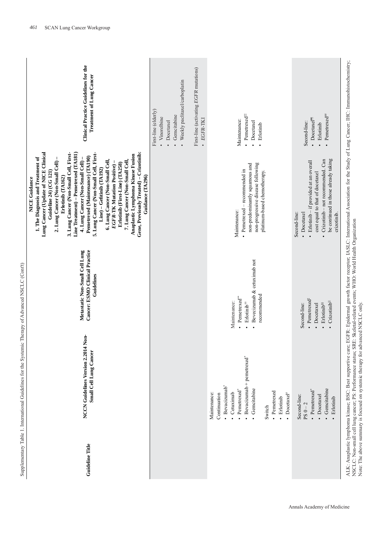| くくしく                     |
|--------------------------|
| $\frac{1}{2}$            |
|                          |
| Ć<br>í                   |
|                          |
| í<br>l<br>i              |
|                          |
| j                        |
|                          |
|                          |
| I<br>i<br>ļ              |
| I<br>l                   |
| ł<br>ï<br>j              |
|                          |
| ֕<br>l<br>l              |
| I<br>l<br>$\overline{a}$ |
| ł<br>፡<br>ζ              |

| Clinical Practice Guidelines for the<br>Treatment of Lung Cancer                                                                                                                                                                                                                                                                                                                                                                                                                                                                                                                                                                                                               | Weekly paclitaxel/carboplatin<br>First-line (elderly)<br>Gemcitabine<br>Vinorelbine<br>Docetaxel | First-line (activating EGFR mutations)<br>· EGFR-TKI | • Pemetrexed <sup>##</sup><br>Maintenance:<br>Docetaxel<br>Erlotinib                                                                                                                                                        | Pemetrexed <sup>##</sup><br>Docetaxe <sup>I'll</sup><br>Second-line:<br>Erlotinib                                                                                                                   |                                                                                                                                                                                                                                                                           |
|--------------------------------------------------------------------------------------------------------------------------------------------------------------------------------------------------------------------------------------------------------------------------------------------------------------------------------------------------------------------------------------------------------------------------------------------------------------------------------------------------------------------------------------------------------------------------------------------------------------------------------------------------------------------------------|--------------------------------------------------------------------------------------------------|------------------------------------------------------|-----------------------------------------------------------------------------------------------------------------------------------------------------------------------------------------------------------------------------|-----------------------------------------------------------------------------------------------------------------------------------------------------------------------------------------------------|---------------------------------------------------------------------------------------------------------------------------------------------------------------------------------------------------------------------------------------------------------------------------|
| Gene, Previously Treated) - Crizotinib:<br>Lung Cancer (Update of NICE Clinical<br>Line Treatment) – Pemetrexed (TA181)<br>5. Lung Cancer (Non-Small Cell, First-<br>3. Lung Cancer (Non-Small Cell, First-<br>Anaplastic Lymphoma Kinase Fusion<br>Pemetrexed (Maintenance) (TA190)<br>1. The Diagnosis and Treatment of<br>4. Lung Cancer (Non-Small Cell) -<br>2. Lung Cancer (Non-Small Cell) -<br>6. Lung Cancer (Non-Small Cell,<br>7. Lung Cancer (Non-Small Cell,<br>Erlotinib (First-Line) (TA258)<br><b>EGFR-TK Mutation Positive</b> )<br>$Line$ ) – Gefitinib $(TA192)$<br>Guideline 24) (CG 121)<br>Guidance (TA296)<br>Erlotinib (TA162)<br><b>NICE Guidance</b> |                                                                                                  |                                                      | non-progressive disease following<br>non-predominantly squamous and<br>• Pemetrexed – recommended in<br>platinum-based chemotherapy.<br>Maintenance:                                                                        | Crizotinib - not recommended. Can<br>be continued in those already taking<br>Erlotinib - if provided at an overall<br>cost equal to that of docetaxel<br>Second-line:<br>• Docetaxel<br>crizotinib. | EGFR: Epidermal growth factor receptor, IASLC: International Association for the Study of Lung Cancer; IHC: Immunohistochemistry;                                                                                                                                         |
| Cancer: ESMO Clinical Practice<br>Metastatic Non-Small Cell Lung<br>Guidelines                                                                                                                                                                                                                                                                                                                                                                                                                                                                                                                                                                                                 |                                                                                                  |                                                      | Bevecizumab & cetuximab not<br>recommended<br>Pemetrexed**<br>Maintenance:<br>Erlotinib <sup>#</sup><br>$\cdot$<br>Ĭ.                                                                                                       | • Pemetrexed <sup>#</sup><br>Crizotinib <sup>ill</sup><br>Erlotinib <sup>§§</sup><br>Second-line:<br>• Docetaxel                                                                                    |                                                                                                                                                                                                                                                                           |
| Non-<br>NCCN Guidelines Version 2.2014<br>Small Cell Lung Cancer                                                                                                                                                                                                                                                                                                                                                                                                                                                                                                                                                                                                               |                                                                                                  |                                                      | Bevacizumab + pemetrexed <sup>*</sup><br>· Bevacizumab*<br>Gemcitabine<br>Pemetrexed <sup>*</sup><br>· Pemetrexed<br>Cetuximab<br>Maintenance:<br>Continuation<br>$\bullet$ Docetaxel <sup>#</sup><br>· Erlotinib<br>Switch | Gemcitabine<br>Pemetrexed*<br>Second-line:<br>Docetaxel<br>Erlotinib<br>$PS 0 - 2$                                                                                                                  | NSCLC: Non-small cell lung cancer; PS: Performance status; SRE: Skeletal-related events; WHO: World Health Organization<br>Note: The above summary is focused on systemic therapy for advanced NSCLC only.<br>ALK: Anaplastic lymphoma kinase; BSC: Best supportive care; |
| Guideline Title                                                                                                                                                                                                                                                                                                                                                                                                                                                                                                                                                                                                                                                                |                                                                                                  |                                                      |                                                                                                                                                                                                                             |                                                                                                                                                                                                     |                                                                                                                                                                                                                                                                           |